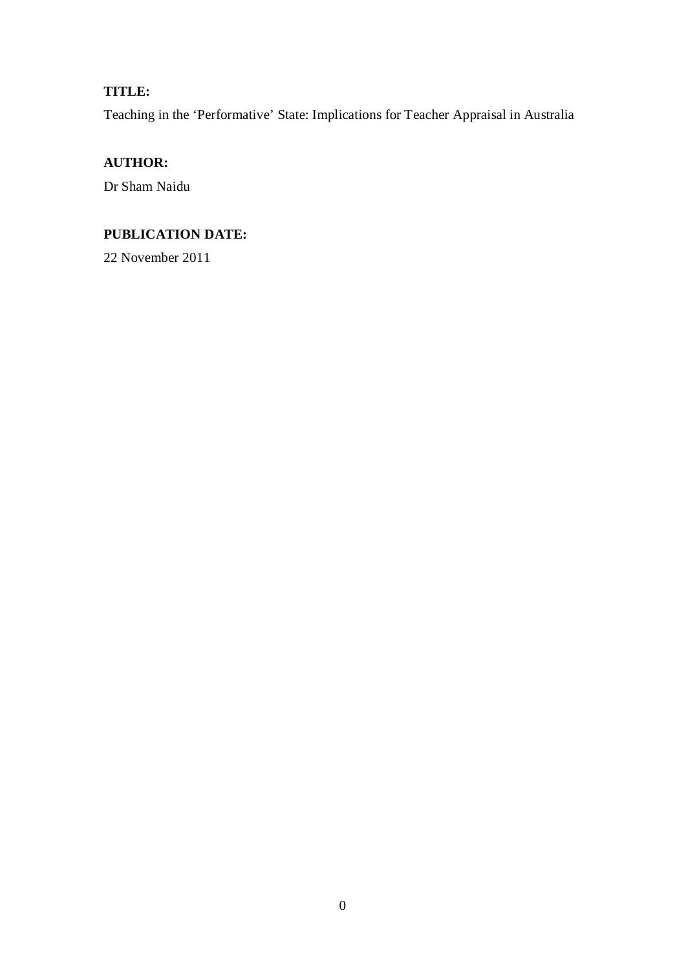## **TITLE:**

Teaching in the 'Performative' State: Implications for Teacher Appraisal in Australia

# **AUTHOR:**

Dr Sham Naidu

## **PUBLICATION DATE:**

22 November 2011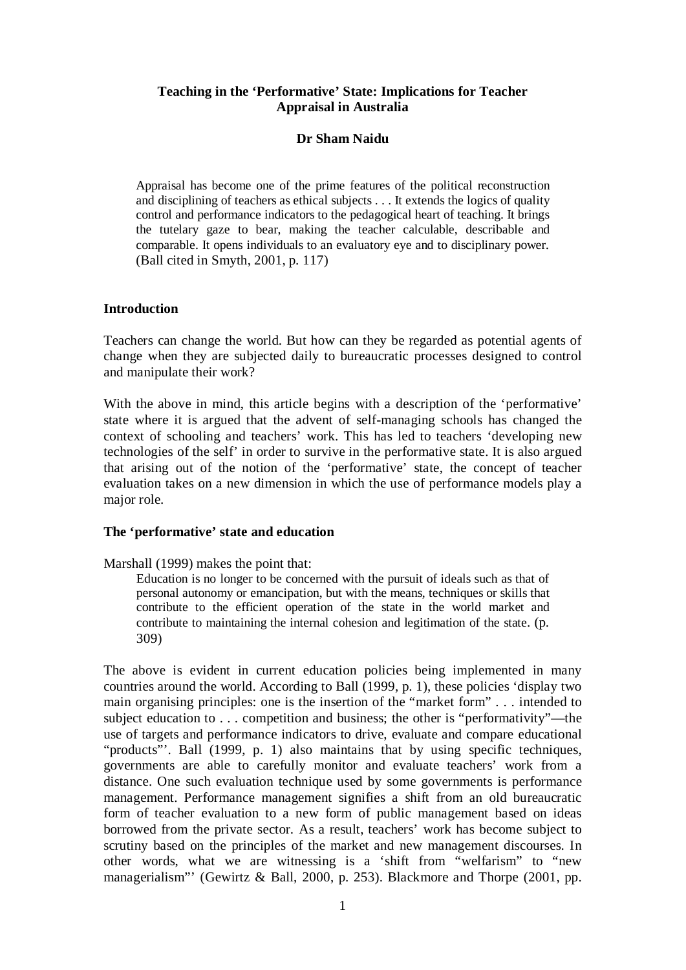#### **Teaching in the 'Performative' State: Implications for Teacher Appraisal in Australia**

#### **Dr Sham Naidu**

Appraisal has become one of the prime features of the political reconstruction and disciplining of teachers as ethical subjects . . . It extends the logics of quality control and performance indicators to the pedagogical heart of teaching. It brings the tutelary gaze to bear, making the teacher calculable, describable and comparable. It opens individuals to an evaluatory eye and to disciplinary power. (Ball cited in Smyth, 2001, p. 117)

#### **Introduction**

Teachers can change the world. But how can they be regarded as potential agents of change when they are subjected daily to bureaucratic processes designed to control and manipulate their work?

With the above in mind, this article begins with a description of the 'performative' state where it is argued that the advent of self-managing schools has changed the context of schooling and teachers' work. This has led to teachers 'developing new technologies of the self' in order to survive in the performative state. It is also argued that arising out of the notion of the 'performative' state, the concept of teacher evaluation takes on a new dimension in which the use of performance models play a major role.

#### **The 'performative' state and education**

Marshall (1999) makes the point that:

Education is no longer to be concerned with the pursuit of ideals such as that of personal autonomy or emancipation, but with the means, techniques or skills that contribute to the efficient operation of the state in the world market and contribute to maintaining the internal cohesion and legitimation of the state. (p. 309)

The above is evident in current education policies being implemented in many countries around the world. According to Ball (1999, p. 1), these policies 'display two main organising principles: one is the insertion of the "market form" . . . intended to subject education to . . . competition and business; the other is "performativity"—the use of targets and performance indicators to drive, evaluate and compare educational "products". Ball (1999, p. 1) also maintains that by using specific techniques, governments are able to carefully monitor and evaluate teachers' work from a distance. One such evaluation technique used by some governments is performance management. Performance management signifies a shift from an old bureaucratic form of teacher evaluation to a new form of public management based on ideas borrowed from the private sector. As a result, teachers' work has become subject to scrutiny based on the principles of the market and new management discourses. In other words, what we are witnessing is a 'shift from "welfarism" to "new managerialism"' (Gewirtz & Ball, 2000, p. 253). Blackmore and Thorpe (2001, pp.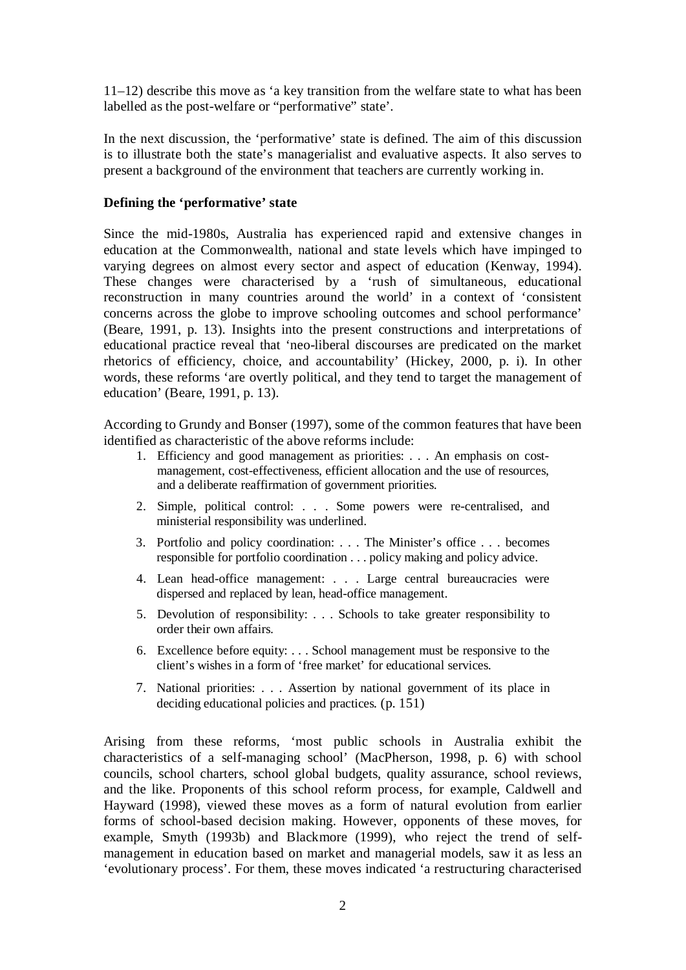11–12) describe this move as 'a key transition from the welfare state to what has been labelled as the post-welfare or "performative" state'.

In the next discussion, the 'performative' state is defined. The aim of this discussion is to illustrate both the state's managerialist and evaluative aspects. It also serves to present a background of the environment that teachers are currently working in.

#### **Defining the 'performative' state**

Since the mid-1980s, Australia has experienced rapid and extensive changes in education at the Commonwealth, national and state levels which have impinged to varying degrees on almost every sector and aspect of education (Kenway, 1994). These changes were characterised by a 'rush of simultaneous, educational reconstruction in many countries around the world' in a context of 'consistent concerns across the globe to improve schooling outcomes and school performance' (Beare, 1991, p. 13). Insights into the present constructions and interpretations of educational practice reveal that 'neo-liberal discourses are predicated on the market rhetorics of efficiency, choice, and accountability' (Hickey, 2000, p. i). In other words, these reforms 'are overtly political, and they tend to target the management of education' (Beare, 1991, p. 13).

According to Grundy and Bonser (1997), some of the common features that have been identified as characteristic of the above reforms include:

- 1. Efficiency and good management as priorities: . . . An emphasis on costmanagement, cost-effectiveness, efficient allocation and the use of resources, and a deliberate reaffirmation of government priorities.
- 2. Simple, political control: . . . Some powers were re-centralised, and ministerial responsibility was underlined.
- 3. Portfolio and policy coordination: . . . The Minister's office . . . becomes responsible for portfolio coordination . . . policy making and policy advice.
- 4. Lean head-office management: . . . Large central bureaucracies were dispersed and replaced by lean, head-office management.
- 5. Devolution of responsibility: . . . Schools to take greater responsibility to order their own affairs.
- 6. Excellence before equity: . . . School management must be responsive to the client's wishes in a form of 'free market' for educational services.
- 7. National priorities: . . . Assertion by national government of its place in deciding educational policies and practices*.* (p. 151)

Arising from these reforms, 'most public schools in Australia exhibit the characteristics of a self-managing school' (MacPherson, 1998, p. 6) with school councils, school charters, school global budgets, quality assurance, school reviews, and the like. Proponents of this school reform process, for example, Caldwell and Hayward (1998), viewed these moves as a form of natural evolution from earlier forms of school-based decision making. However, opponents of these moves, for example, Smyth (1993b) and Blackmore (1999), who reject the trend of selfmanagement in education based on market and managerial models, saw it as less an 'evolutionary process'. For them, these moves indicated 'a restructuring characterised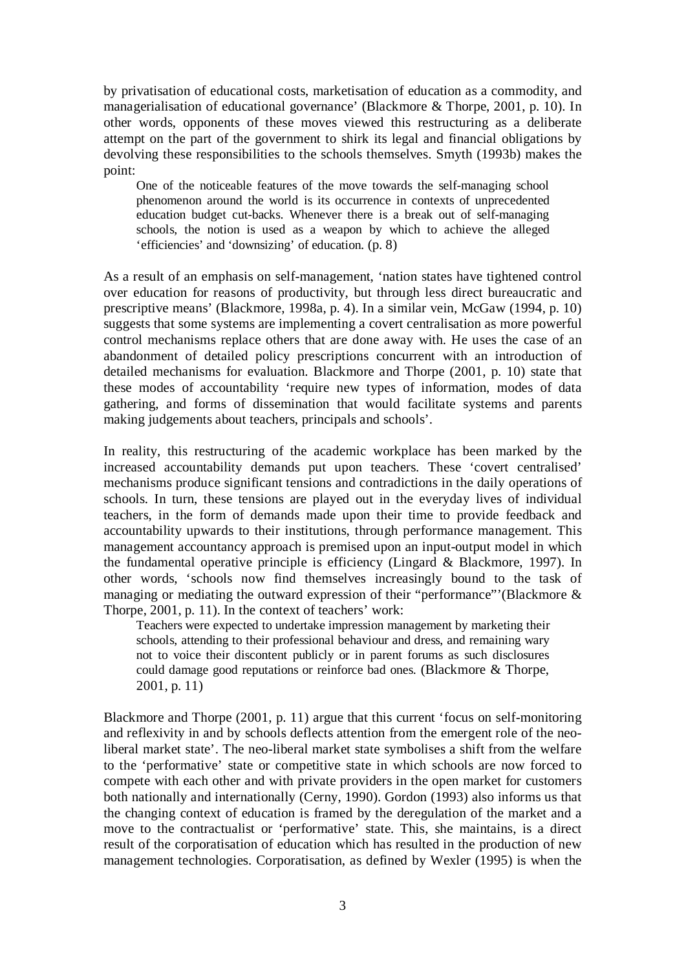by privatisation of educational costs, marketisation of education as a commodity, and managerialisation of educational governance' (Blackmore & Thorpe, 2001, p. 10). In other words, opponents of these moves viewed this restructuring as a deliberate attempt on the part of the government to shirk its legal and financial obligations by devolving these responsibilities to the schools themselves. Smyth (1993b) makes the point:

One of the noticeable features of the move towards the self-managing school phenomenon around the world is its occurrence in contexts of unprecedented education budget cut-backs. Whenever there is a break out of self-managing schools, the notion is used as a weapon by which to achieve the alleged 'efficiencies' and 'downsizing' of education*.* (p. 8)

As a result of an emphasis on self-management, 'nation states have tightened control over education for reasons of productivity, but through less direct bureaucratic and prescriptive means' (Blackmore, 1998a, p. 4). In a similar vein, McGaw (1994, p. 10) suggests that some systems are implementing a covert centralisation as more powerful control mechanisms replace others that are done away with. He uses the case of an abandonment of detailed policy prescriptions concurrent with an introduction of detailed mechanisms for evaluation. Blackmore and Thorpe (2001, p. 10) state that these modes of accountability 'require new types of information, modes of data gathering, and forms of dissemination that would facilitate systems and parents making judgements about teachers, principals and schools'.

In reality, this restructuring of the academic workplace has been marked by the increased accountability demands put upon teachers. These 'covert centralised' mechanisms produce significant tensions and contradictions in the daily operations of schools. In turn, these tensions are played out in the everyday lives of individual teachers, in the form of demands made upon their time to provide feedback and accountability upwards to their institutions, through performance management. This management accountancy approach is premised upon an input-output model in which the fundamental operative principle is efficiency (Lingard & Blackmore, 1997). In other words, 'schools now find themselves increasingly bound to the task of managing or mediating the outward expression of their "performance"'(Blackmore & Thorpe, 2001, p. 11). In the context of teachers' work:

Teachers were expected to undertake impression management by marketing their schools, attending to their professional behaviour and dress, and remaining wary not to voice their discontent publicly or in parent forums as such disclosures could damage good reputations or reinforce bad ones. (Blackmore & Thorpe, 2001, p. 11)

Blackmore and Thorpe (2001, p. 11) argue that this current 'focus on self-monitoring and reflexivity in and by schools deflects attention from the emergent role of the neoliberal market state'. The neo-liberal market state symbolises a shift from the welfare to the 'performative' state or competitive state in which schools are now forced to compete with each other and with private providers in the open market for customers both nationally and internationally (Cerny, 1990). Gordon (1993) also informs us that the changing context of education is framed by the deregulation of the market and a move to the contractualist or 'performative' state. This, she maintains, is a direct result of the corporatisation of education which has resulted in the production of new management technologies. Corporatisation, as defined by Wexler (1995) is when the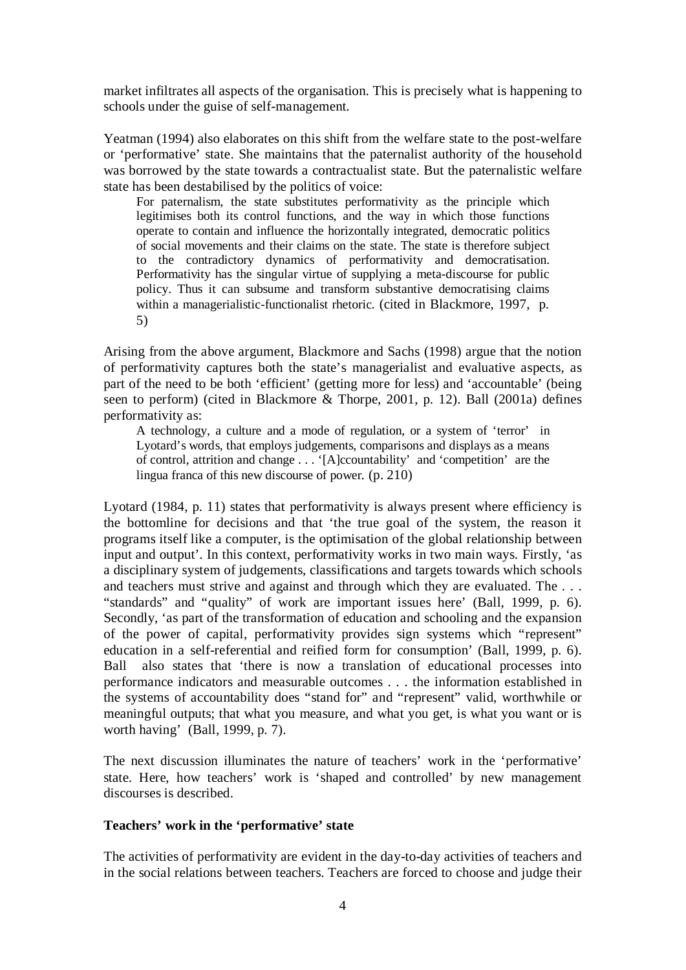market infiltrates all aspects of the organisation. This is precisely what is happening to schools under the guise of self-management.

Yeatman (1994) also elaborates on this shift from the welfare state to the post-welfare or 'performative' state. She maintains that the paternalist authority of the household was borrowed by the state towards a contractualist state. But the paternalistic welfare state has been destabilised by the politics of voice:

For paternalism, the state substitutes performativity as the principle which legitimises both its control functions, and the way in which those functions operate to contain and influence the horizontally integrated, democratic politics of social movements and their claims on the state. The state is therefore subject to the contradictory dynamics of performativity and democratisation. Performativity has the singular virtue of supplying a meta-discourse for public policy. Thus it can subsume and transform substantive democratising claims within a managerialistic-functionalist rhetoric. (cited in Blackmore, 1997, p. 5)

Arising from the above argument, Blackmore and Sachs (1998) argue that the notion of performativity captures both the state's managerialist and evaluative aspects, as part of the need to be both 'efficient' (getting more for less) and 'accountable' (being seen to perform) (cited in Blackmore & Thorpe, 2001, p. 12). Ball (2001a) defines performativity as:

A technology, a culture and a mode of regulation, or a system of 'terror' in Lyotard's words, that employs judgements, comparisons and displays as a means of control, attrition and change . . . '[A]ccountability' and 'competition' are the lingua franca of this new discourse of power*.* (p. 210)

Lyotard (1984, p. 11) states that performativity is always present where efficiency is the bottomline for decisions and that 'the true goal of the system, the reason it programs itself like a computer, is the optimisation of the global relationship between input and output'. In this context, performativity works in two main ways. Firstly, 'as a disciplinary system of judgements, classifications and targets towards which schools and teachers must strive and against and through which they are evaluated. The . . . "standards" and "quality" of work are important issues here' (Ball, 1999, p. 6). Secondly, 'as part of the transformation of education and schooling and the expansion of the power of capital, performativity provides sign systems which "represent" education in a self-referential and reified form for consumption' (Ball, 1999, p. 6). Ball also states that 'there is now a translation of educational processes into performance indicators and measurable outcomes . . . the information established in the systems of accountability does "stand for" and "represent" valid, worthwhile or meaningful outputs; that what you measure, and what you get, is what you want or is worth having' (Ball, 1999, p. 7).

The next discussion illuminates the nature of teachers' work in the 'performative' state. Here, how teachers' work is 'shaped and controlled' by new management discourses is described.

## **Teachers' work in the 'performative' state**

The activities of performativity are evident in the day-to-day activities of teachers and in the social relations between teachers. Teachers are forced to choose and judge their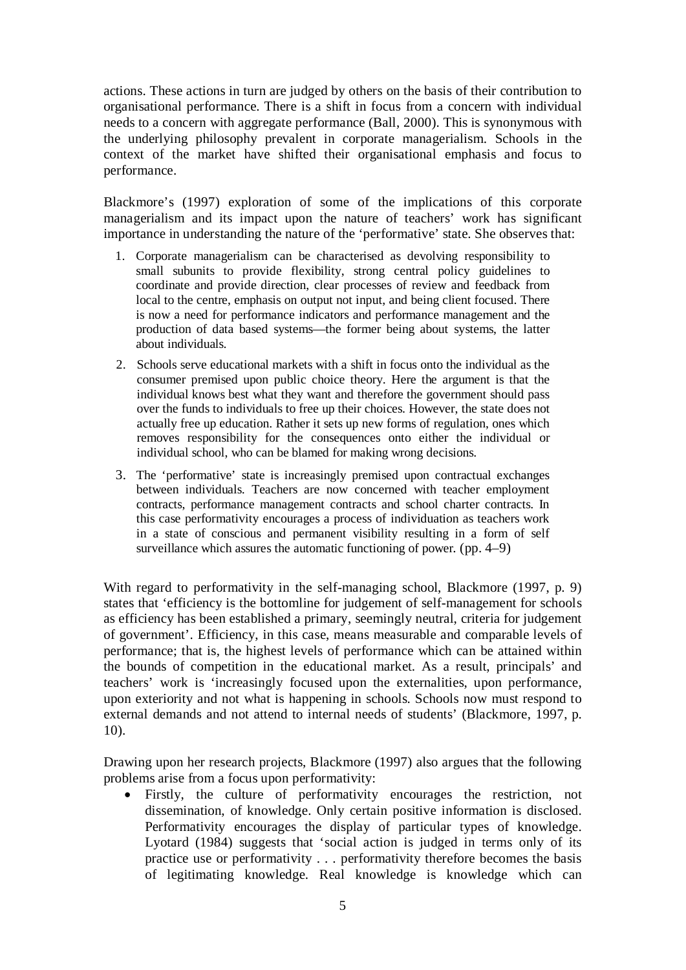actions. These actions in turn are judged by others on the basis of their contribution to organisational performance. There is a shift in focus from a concern with individual needs to a concern with aggregate performance (Ball, 2000). This is synonymous with the underlying philosophy prevalent in corporate managerialism. Schools in the context of the market have shifted their organisational emphasis and focus to performance.

Blackmore's (1997) exploration of some of the implications of this corporate managerialism and its impact upon the nature of teachers' work has significant importance in understanding the nature of the 'performative' state. She observes that:

- 1. Corporate managerialism can be characterised as devolving responsibility to small subunits to provide flexibility, strong central policy guidelines to coordinate and provide direction, clear processes of review and feedback from local to the centre, emphasis on output not input, and being client focused. There is now a need for performance indicators and performance management and the production of data based systems—the former being about systems, the latter about individuals.
- 2. Schools serve educational markets with a shift in focus onto the individual as the consumer premised upon public choice theory. Here the argument is that the individual knows best what they want and therefore the government should pass over the funds to individuals to free up their choices. However, the state does not actually free up education. Rather it sets up new forms of regulation, ones which removes responsibility for the consequences onto either the individual or individual school, who can be blamed for making wrong decisions.
- 3. The 'performative' state is increasingly premised upon contractual exchanges between individuals. Teachers are now concerned with teacher employment contracts, performance management contracts and school charter contracts. In this case performativity encourages a process of individuation as teachers work in a state of conscious and permanent visibility resulting in a form of self surveillance which assures the automatic functioning of power*.* (pp. 4–9)

With regard to performativity in the self-managing school, Blackmore (1997, p. 9) states that 'efficiency is the bottomline for judgement of self-management for schools as efficiency has been established a primary, seemingly neutral, criteria for judgement of government'. Efficiency, in this case, means measurable and comparable levels of performance; that is, the highest levels of performance which can be attained within the bounds of competition in the educational market. As a result, principals' and teachers' work is 'increasingly focused upon the externalities, upon performance, upon exteriority and not what is happening in schools. Schools now must respond to external demands and not attend to internal needs of students' (Blackmore, 1997, p. 10).

Drawing upon her research projects, Blackmore (1997) also argues that the following problems arise from a focus upon performativity:

• Firstly, the culture of performativity encourages the restriction, not dissemination, of knowledge. Only certain positive information is disclosed. Performativity encourages the display of particular types of knowledge. Lyotard (1984) suggests that 'social action is judged in terms only of its practice use or performativity . . . performativity therefore becomes the basis of legitimating knowledge. Real knowledge is knowledge which can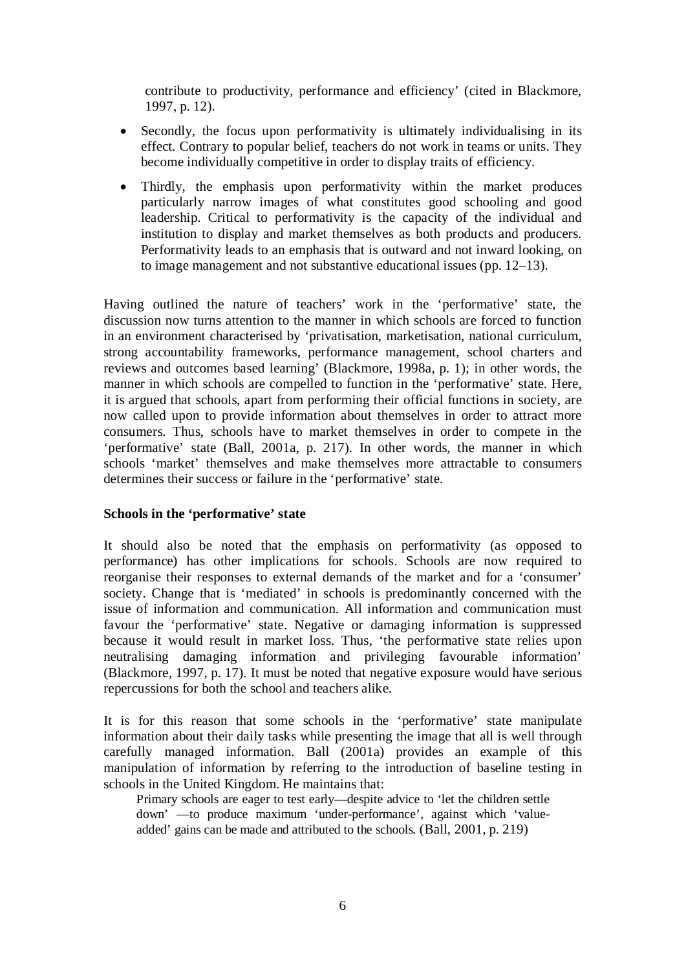contribute to productivity, performance and efficiency' (cited in Blackmore, 1997, p. 12).

- Secondly, the focus upon performativity is ultimately individualising in its effect. Contrary to popular belief, teachers do not work in teams or units. They become individually competitive in order to display traits of efficiency.
- Thirdly, the emphasis upon performativity within the market produces particularly narrow images of what constitutes good schooling and good leadership. Critical to performativity is the capacity of the individual and institution to display and market themselves as both products and producers. Performativity leads to an emphasis that is outward and not inward looking, on to image management and not substantive educational issues (pp. 12–13).

Having outlined the nature of teachers' work in the 'performative' state, the discussion now turns attention to the manner in which schools are forced to function in an environment characterised by 'privatisation, marketisation, national curriculum, strong accountability frameworks, performance management, school charters and reviews and outcomes based learning' (Blackmore, 1998a, p. 1); in other words, the manner in which schools are compelled to function in the 'performative' state. Here, it is argued that schools, apart from performing their official functions in society, are now called upon to provide information about themselves in order to attract more consumers. Thus, schools have to market themselves in order to compete in the 'performative' state (Ball, 2001a, p. 217). In other words, the manner in which schools 'market' themselves and make themselves more attractable to consumers determines their success or failure in the 'performative' state.

## **Schools in the 'performative' state**

It should also be noted that the emphasis on performativity (as opposed to performance) has other implications for schools. Schools are now required to reorganise their responses to external demands of the market and for a 'consumer' society. Change that is 'mediated' in schools is predominantly concerned with the issue of information and communication. All information and communication must favour the 'performative' state. Negative or damaging information is suppressed because it would result in market loss. Thus, 'the performative state relies upon neutralising damaging information and privileging favourable information' (Blackmore, 1997, p. 17). It must be noted that negative exposure would have serious repercussions for both the school and teachers alike.

It is for this reason that some schools in the 'performative' state manipulate information about their daily tasks while presenting the image that all is well through carefully managed information. Ball (2001a) provides an example of this manipulation of information by referring to the introduction of baseline testing in schools in the United Kingdom. He maintains that:

Primary schools are eager to test early—despite advice to 'let the children settle down' —to produce maximum 'under-performance', against which 'valueadded' gains can be made and attributed to the schools*.* (Ball, 2001, p. 219)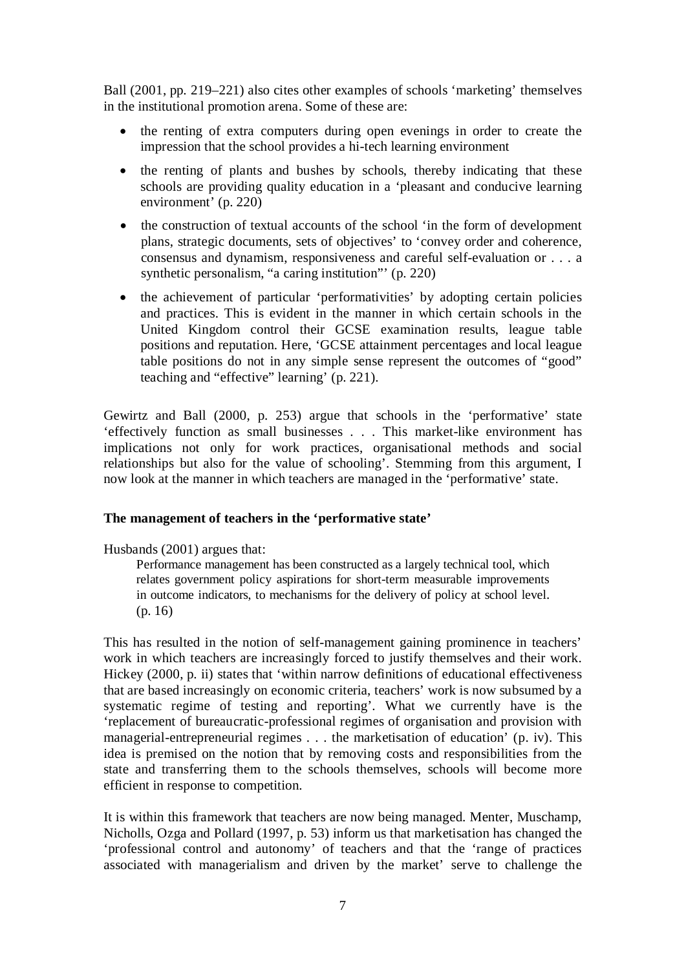Ball (2001, pp. 219–221) also cites other examples of schools 'marketing' themselves in the institutional promotion arena. Some of these are:

- the renting of extra computers during open evenings in order to create the impression that the school provides a hi-tech learning environment
- the renting of plants and bushes by schools, thereby indicating that these schools are providing quality education in a 'pleasant and conducive learning environment' (p. 220)
- the construction of textual accounts of the school 'in the form of development plans, strategic documents, sets of objectives' to 'convey order and coherence, consensus and dynamism, responsiveness and careful self-evaluation or . . . a synthetic personalism, "a caring institution"' (p. 220)
- the achievement of particular 'performativities' by adopting certain policies and practices. This is evident in the manner in which certain schools in the United Kingdom control their GCSE examination results, league table positions and reputation. Here, 'GCSE attainment percentages and local league table positions do not in any simple sense represent the outcomes of "good" teaching and "effective" learning' (p. 221).

Gewirtz and Ball (2000, p. 253) argue that schools in the 'performative' state 'effectively function as small businesses . . . This market-like environment has implications not only for work practices, organisational methods and social relationships but also for the value of schooling'. Stemming from this argument, I now look at the manner in which teachers are managed in the 'performative' state.

## **The management of teachers in the 'performative state'**

Husbands (2001) argues that:

Performance management has been constructed as a largely technical tool, which relates government policy aspirations for short-term measurable improvements in outcome indicators, to mechanisms for the delivery of policy at school level. (p. 16)

This has resulted in the notion of self-management gaining prominence in teachers' work in which teachers are increasingly forced to justify themselves and their work. Hickey (2000, p. ii) states that 'within narrow definitions of educational effectiveness that are based increasingly on economic criteria, teachers' work is now subsumed by a systematic regime of testing and reporting'. What we currently have is the 'replacement of bureaucratic-professional regimes of organisation and provision with managerial-entrepreneurial regimes . . . the marketisation of education' (p. iv). This idea is premised on the notion that by removing costs and responsibilities from the state and transferring them to the schools themselves, schools will become more efficient in response to competition.

It is within this framework that teachers are now being managed. Menter, Muschamp, Nicholls, Ozga and Pollard (1997, p. 53) inform us that marketisation has changed the 'professional control and autonomy' of teachers and that the 'range of practices associated with managerialism and driven by the market' serve to challenge the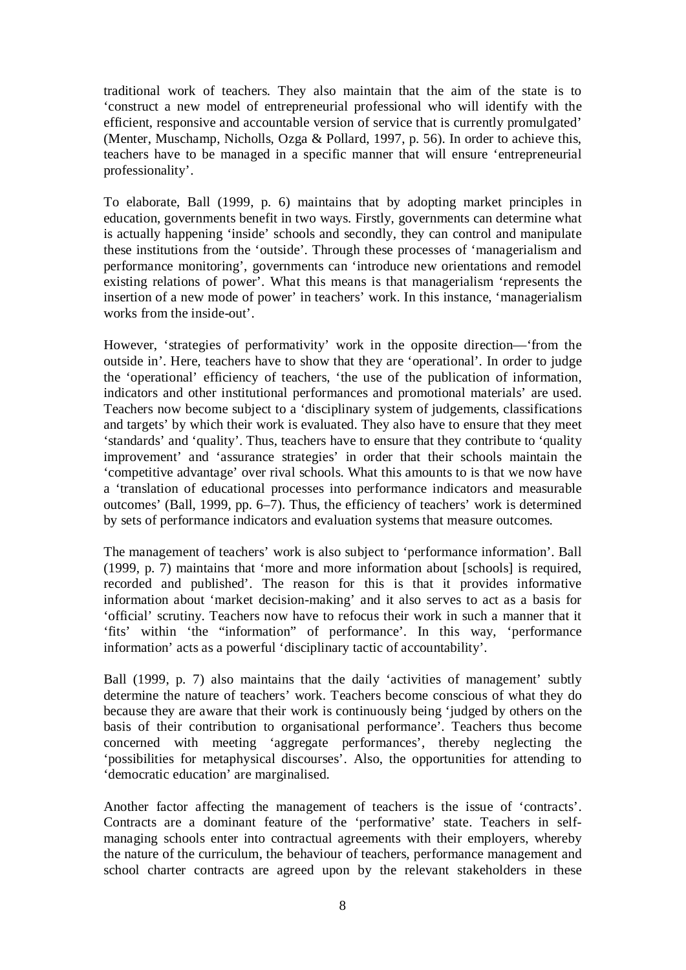traditional work of teachers. They also maintain that the aim of the state is to 'construct a new model of entrepreneurial professional who will identify with the efficient, responsive and accountable version of service that is currently promulgated' (Menter, Muschamp, Nicholls, Ozga & Pollard, 1997, p. 56). In order to achieve this, teachers have to be managed in a specific manner that will ensure 'entrepreneurial professionality'.

To elaborate, Ball (1999, p. 6) maintains that by adopting market principles in education, governments benefit in two ways. Firstly, governments can determine what is actually happening 'inside' schools and secondly, they can control and manipulate these institutions from the 'outside'. Through these processes of 'managerialism and performance monitoring', governments can 'introduce new orientations and remodel existing relations of power'. What this means is that managerialism 'represents the insertion of a new mode of power' in teachers' work. In this instance, 'managerialism works from the inside-out'.

However, 'strategies of performativity' work in the opposite direction—'from the outside in'. Here, teachers have to show that they are 'operational'. In order to judge the 'operational' efficiency of teachers, 'the use of the publication of information, indicators and other institutional performances and promotional materials' are used. Teachers now become subject to a 'disciplinary system of judgements, classifications and targets' by which their work is evaluated. They also have to ensure that they meet 'standards' and 'quality'. Thus, teachers have to ensure that they contribute to 'quality improvement' and 'assurance strategies' in order that their schools maintain the 'competitive advantage' over rival schools. What this amounts to is that we now have a 'translation of educational processes into performance indicators and measurable outcomes' (Ball, 1999, pp. 6–7). Thus, the efficiency of teachers' work is determined by sets of performance indicators and evaluation systems that measure outcomes.

The management of teachers' work is also subject to 'performance information'. Ball (1999, p. 7) maintains that 'more and more information about [schools] is required, recorded and published'. The reason for this is that it provides informative information about 'market decision-making' and it also serves to act as a basis for 'official' scrutiny. Teachers now have to refocus their work in such a manner that it 'fits' within 'the "information" of performance'. In this way, 'performance information' acts as a powerful 'disciplinary tactic of accountability'.

Ball (1999, p. 7) also maintains that the daily 'activities of management' subtly determine the nature of teachers' work. Teachers become conscious of what they do because they are aware that their work is continuously being 'judged by others on the basis of their contribution to organisational performance'. Teachers thus become concerned with meeting 'aggregate performances', thereby neglecting the 'possibilities for metaphysical discourses'. Also, the opportunities for attending to 'democratic education' are marginalised.

Another factor affecting the management of teachers is the issue of 'contracts'. Contracts are a dominant feature of the 'performative' state. Teachers in selfmanaging schools enter into contractual agreements with their employers, whereby the nature of the curriculum, the behaviour of teachers, performance management and school charter contracts are agreed upon by the relevant stakeholders in these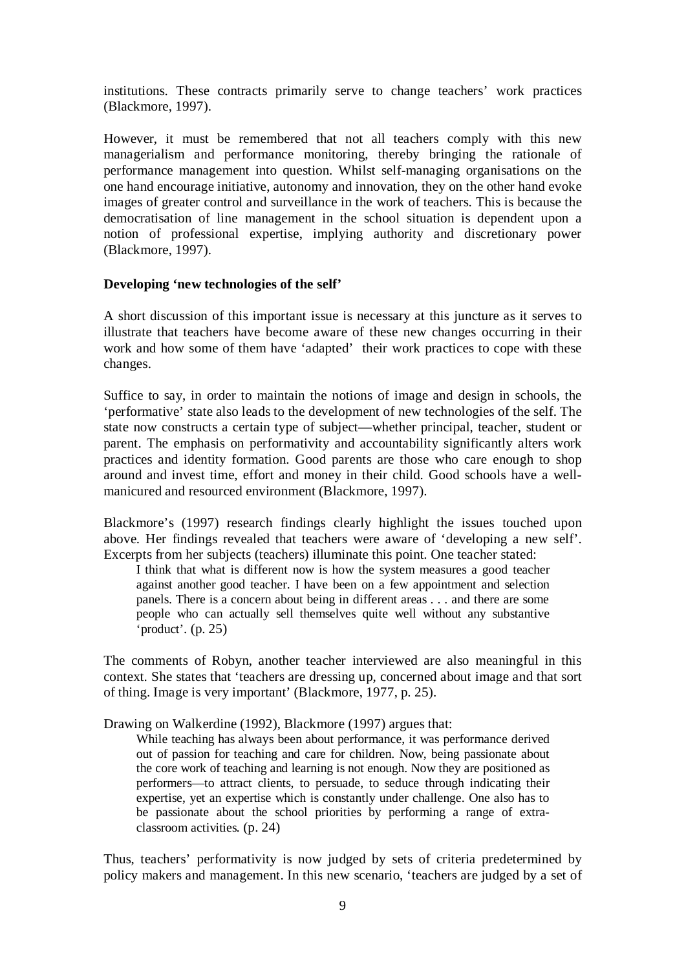institutions. These contracts primarily serve to change teachers' work practices (Blackmore, 1997).

However, it must be remembered that not all teachers comply with this new managerialism and performance monitoring, thereby bringing the rationale of performance management into question. Whilst self-managing organisations on the one hand encourage initiative, autonomy and innovation, they on the other hand evoke images of greater control and surveillance in the work of teachers. This is because the democratisation of line management in the school situation is dependent upon a notion of professional expertise, implying authority and discretionary power (Blackmore, 1997).

#### **Developing 'new technologies of the self'**

A short discussion of this important issue is necessary at this juncture as it serves to illustrate that teachers have become aware of these new changes occurring in their work and how some of them have 'adapted' their work practices to cope with these changes.

Suffice to say, in order to maintain the notions of image and design in schools, the 'performative' state also leads to the development of new technologies of the self. The state now constructs a certain type of subject—whether principal, teacher, student or parent. The emphasis on performativity and accountability significantly alters work practices and identity formation. Good parents are those who care enough to shop around and invest time, effort and money in their child. Good schools have a wellmanicured and resourced environment (Blackmore, 1997).

Blackmore's (1997) research findings clearly highlight the issues touched upon above. Her findings revealed that teachers were aware of 'developing a new self'. Excerpts from her subjects (teachers) illuminate this point. One teacher stated:

I think that what is different now is how the system measures a good teacher against another good teacher. I have been on a few appointment and selection panels. There is a concern about being in different areas . . . and there are some people who can actually sell themselves quite well without any substantive 'product'*.* (p. 25)

The comments of Robyn, another teacher interviewed are also meaningful in this context. She states that 'teachers are dressing up, concerned about image and that sort of thing. Image is very important' (Blackmore, 1977, p. 25).

Drawing on Walkerdine (1992), Blackmore (1997) argues that:

While teaching has always been about performance, it was performance derived out of passion for teaching and care for children. Now, being passionate about the core work of teaching and learning is not enough. Now they are positioned as performers—to attract clients, to persuade, to seduce through indicating their expertise, yet an expertise which is constantly under challenge. One also has to be passionate about the school priorities by performing a range of extraclassroom activities*.* (p. 24)

Thus, teachers' performativity is now judged by sets of criteria predetermined by policy makers and management. In this new scenario, 'teachers are judged by a set of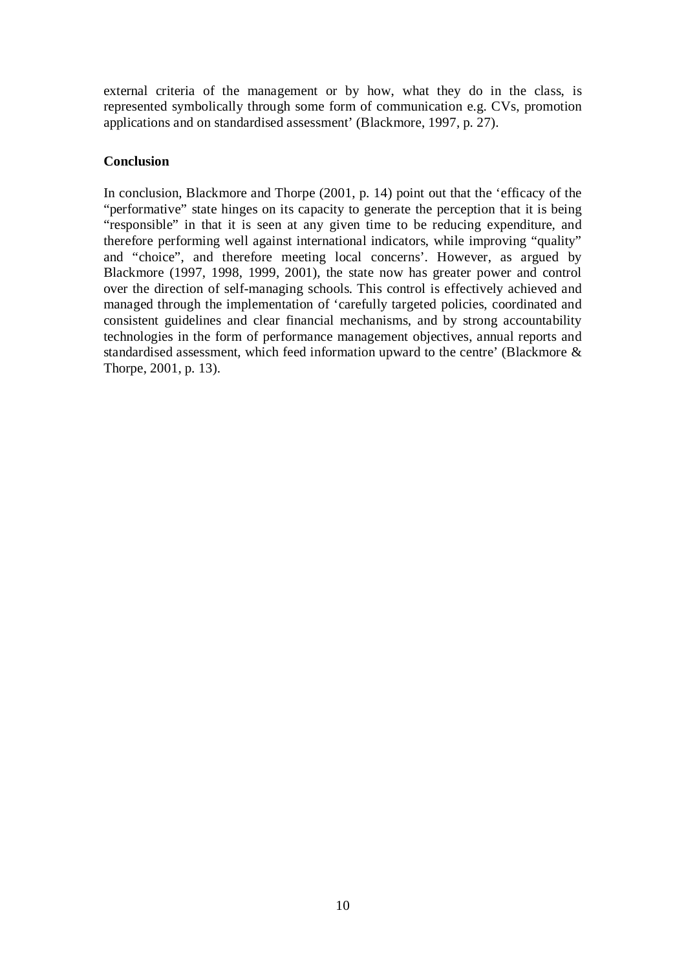external criteria of the management or by how, what they do in the class, is represented symbolically through some form of communication e.g. CVs, promotion applications and on standardised assessment' (Blackmore, 1997, p. 27).

## **Conclusion**

In conclusion, Blackmore and Thorpe (2001, p. 14) point out that the 'efficacy of the "performative" state hinges on its capacity to generate the perception that it is being "responsible" in that it is seen at any given time to be reducing expenditure, and therefore performing well against international indicators, while improving "quality" and "choice", and therefore meeting local concerns'. However, as argued by Blackmore (1997, 1998, 1999, 2001), the state now has greater power and control over the direction of self-managing schools. This control is effectively achieved and managed through the implementation of 'carefully targeted policies, coordinated and consistent guidelines and clear financial mechanisms, and by strong accountability technologies in the form of performance management objectives, annual reports and standardised assessment, which feed information upward to the centre' (Blackmore & Thorpe, 2001, p. 13).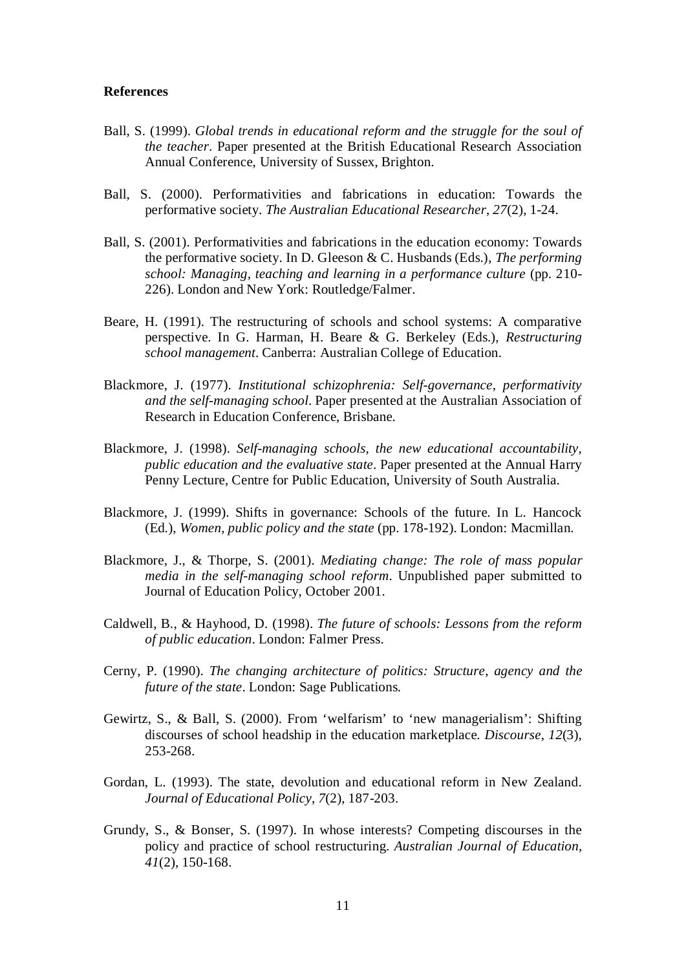#### **References**

- Ball, S. (1999). *Global trends in educational reform and the struggle for the soul of the teacher*. Paper presented at the British Educational Research Association Annual Conference, University of Sussex, Brighton.
- Ball, S. (2000). Performativities and fabrications in education: Towards the performative society. *The Australian Educational Researcher*, *27*(2), 1-24.
- Ball, S. (2001). Performativities and fabrications in the education economy: Towards the performative society. In D. Gleeson & C. Husbands (Eds.), *The performing school: Managing, teaching and learning in a performance culture* (pp. 210- 226). London and New York: Routledge/Falmer.
- Beare, H. (1991). The restructuring of schools and school systems: A comparative perspective. In G. Harman, H. Beare & G. Berkeley (Eds.), *Restructuring school management*. Canberra: Australian College of Education.
- Blackmore, J. (1977). *Institutional schizophrenia: Self-governance, performativity and the self-managing school*. Paper presented at the Australian Association of Research in Education Conference, Brisbane.
- Blackmore, J. (1998). *Self-managing schools, the new educational accountability, public education and the evaluative state*. Paper presented at the Annual Harry Penny Lecture, Centre for Public Education, University of South Australia.
- Blackmore, J. (1999). Shifts in governance: Schools of the future. In L. Hancock (Ed.), *Women, public policy and the state* (pp. 178-192). London: Macmillan.
- Blackmore, J., & Thorpe, S. (2001). *Mediating change: The role of mass popular media in the self-managing school reform*. Unpublished paper submitted to Journal of Education Policy, October 2001.
- Caldwell, B., & Hayhood, D. (1998). *The future of schools: Lessons from the reform of public education*. London: Falmer Press.
- Cerny, P. (1990). *The changing architecture of politics: Structure, agency and the future of the state*. London: Sage Publications.
- Gewirtz, S., & Ball, S. (2000). From 'welfarism' to 'new managerialism': Shifting discourses of school headship in the education marketplace. *Discourse*, *12*(3), 253-268.
- Gordan, L. (1993). The state, devolution and educational reform in New Zealand. *Journal of Educational Policy*, *7*(2), 187-203.
- Grundy, S., & Bonser, S. (1997). In whose interests? Competing discourses in the policy and practice of school restructuring. *Australian Journal of Education*, *41*(2), 150-168.